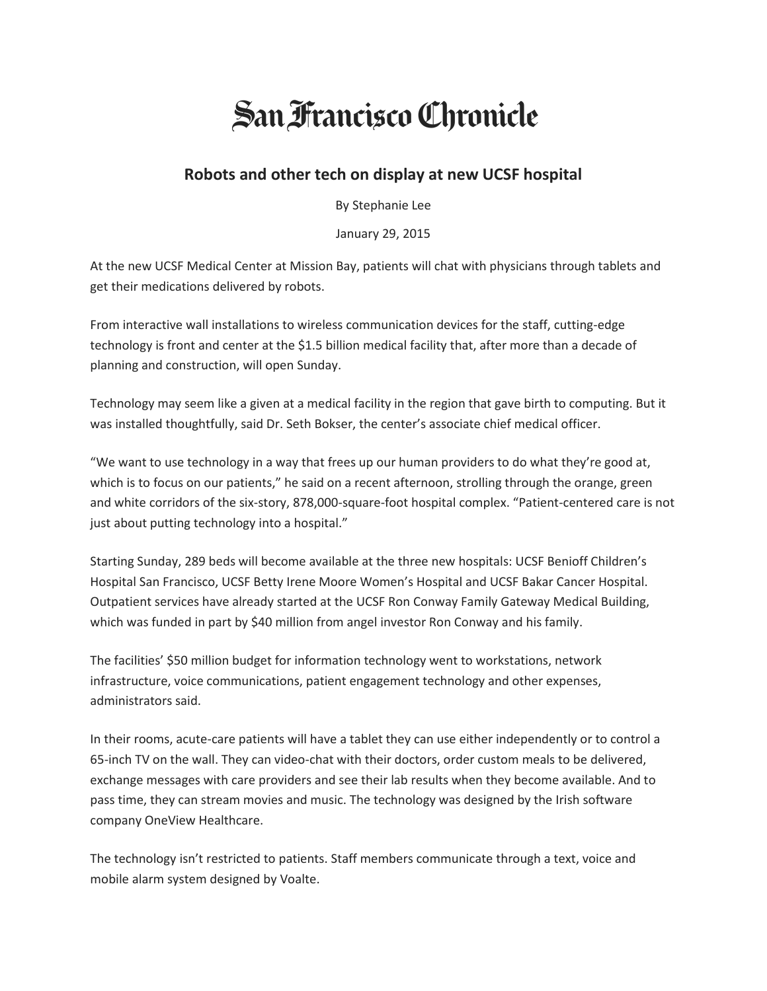## **San Francisco Chronicle**

## **Robots and other tech on display at new UCSF hospital**

By Stephanie Lee

January 29, 2015

At the new UCSF Medical Center at Mission Bay, patients will chat with physicians through tablets and get their medications delivered by robots.

From interactive wall installations to wireless communication devices for the staff, cutting-edge technology is front and center at the \$1.5 billion medical facility that, after more than a decade of planning and construction, will open Sunday.

Technology may seem like a given at a medical facility in the region that gave birth to computing. But it was installed thoughtfully, said Dr. Seth Bokser, the center's associate chief medical officer.

"We want to use technology in a way that frees up our human providers to do what they're good at, which is to focus on our patients," he said on a recent afternoon, strolling through the orange, green and white corridors of the six-story, 878,000-square-foot hospital complex. "Patient-centered care is not just about putting technology into a hospital."

Starting Sunday, 289 beds will become available at the three new hospitals: UCSF Benioff Children's Hospital San Francisco, UCSF Betty Irene Moore Women's Hospital and UCSF Bakar Cancer Hospital. Outpatient services have already started at the UCSF Ron Conway Family Gateway Medical Building, which was funded in part by \$40 million from angel investor Ron Conway and his family.

The facilities' \$50 million budget for information technology went to workstations, network infrastructure, voice communications, patient engagement technology and other expenses, administrators said.

In their rooms, acute-care patients will have a tablet they can use either independently or to control a 65-inch TV on the wall. They can video-chat with their doctors, order custom meals to be delivered, exchange messages with care providers and see their lab results when they become available. And to pass time, they can stream movies and music. The technology was designed by the Irish software company OneView Healthcare.

The technology isn't restricted to patients. Staff members communicate through a text, voice and mobile alarm system designed by Voalte.